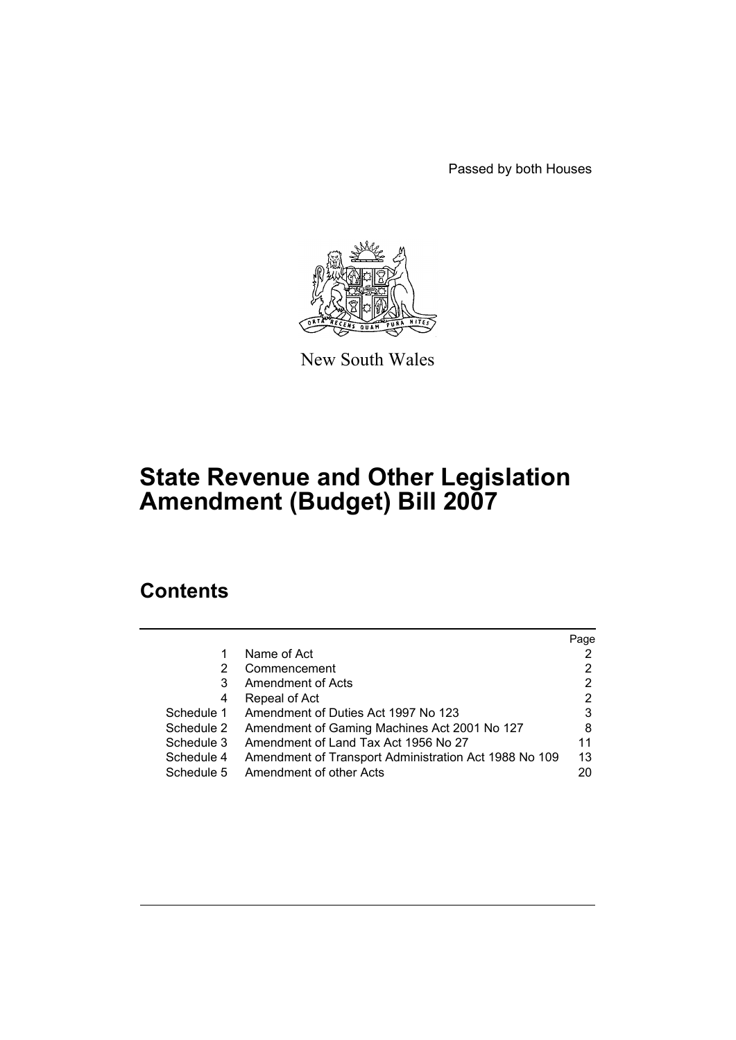Passed by both Houses



New South Wales

# **State Revenue and Other Legislation Amendment (Budget) Bill 2007**

# **Contents**

|                                                       | Page |
|-------------------------------------------------------|------|
| Name of Act                                           |      |
| Commencement                                          |      |
| <b>Amendment of Acts</b>                              | 2    |
| Repeal of Act                                         | 2    |
| Amendment of Duties Act 1997 No 123                   | 3    |
| Amendment of Gaming Machines Act 2001 No 127          | 8    |
| Amendment of Land Tax Act 1956 No 27                  | 11   |
| Amendment of Transport Administration Act 1988 No 109 | 13   |
| Amendment of other Acts                               | 20   |
|                                                       |      |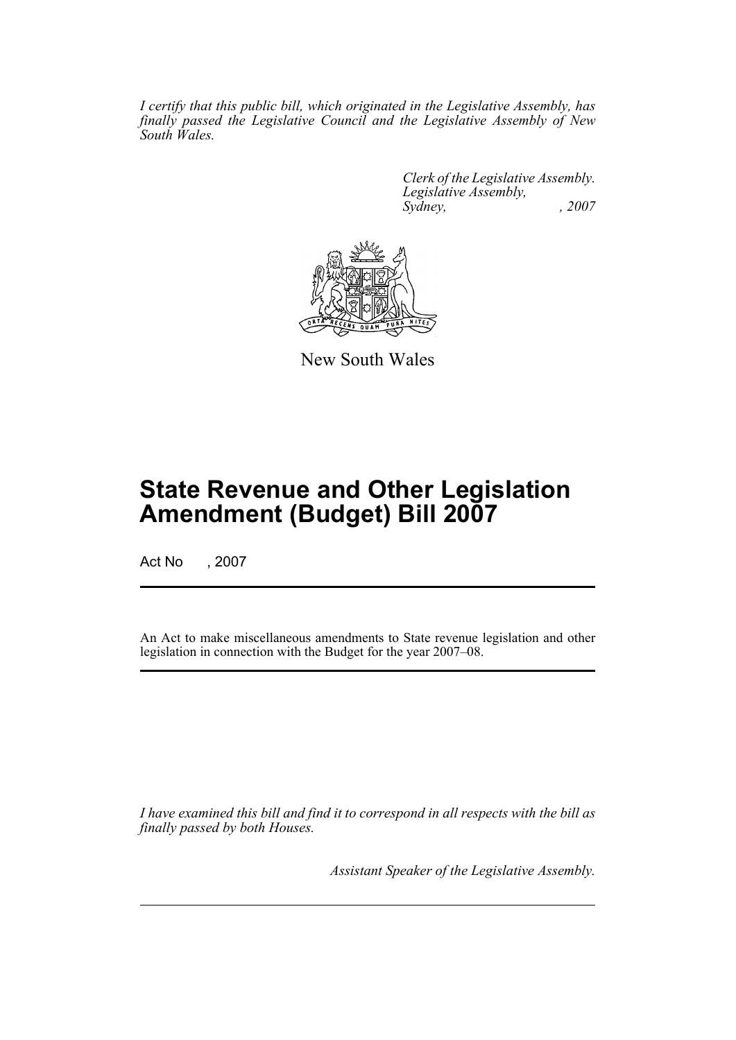*I certify that this public bill, which originated in the Legislative Assembly, has finally passed the Legislative Council and the Legislative Assembly of New South Wales.*

> *Clerk of the Legislative Assembly. Legislative Assembly, Sydney, , 2007*



New South Wales

# **State Revenue and Other Legislation Amendment (Budget) Bill 2007**

Act No , 2007

An Act to make miscellaneous amendments to State revenue legislation and other legislation in connection with the Budget for the year 2007–08.

*I have examined this bill and find it to correspond in all respects with the bill as finally passed by both Houses.*

*Assistant Speaker of the Legislative Assembly.*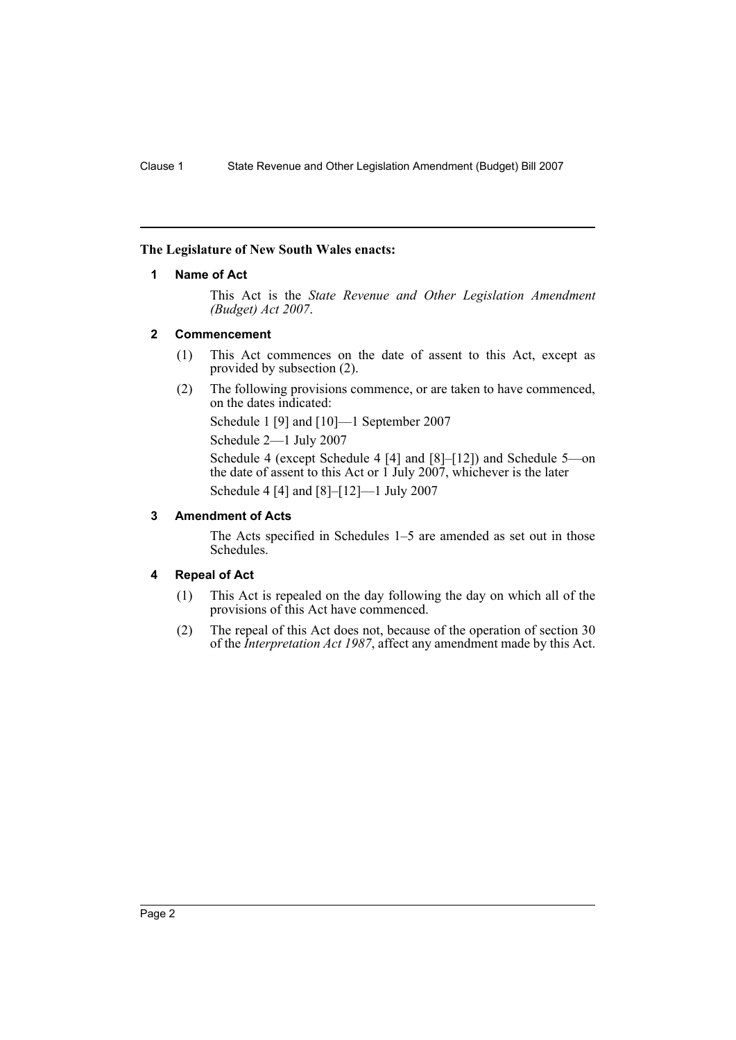#### <span id="page-2-0"></span>**The Legislature of New South Wales enacts:**

#### **1 Name of Act**

This Act is the *State Revenue and Other Legislation Amendment (Budget) Act 2007*.

#### <span id="page-2-1"></span>**2 Commencement**

- (1) This Act commences on the date of assent to this Act, except as provided by subsection (2).
- (2) The following provisions commence, or are taken to have commenced, on the dates indicated:

Schedule 1 [9] and [10]—1 September 2007

Schedule 2—1 July 2007

Schedule 4 (except Schedule 4 [4] and [8]–[12]) and Schedule 5—on the date of assent to this Act or 1 July 2007, whichever is the later Schedule 4 [4] and [8]–[12]—1 July 2007

#### <span id="page-2-2"></span>**3 Amendment of Acts**

The Acts specified in Schedules 1–5 are amended as set out in those Schedules.

#### <span id="page-2-3"></span>**4 Repeal of Act**

- (1) This Act is repealed on the day following the day on which all of the provisions of this Act have commenced.
- (2) The repeal of this Act does not, because of the operation of section 30 of the *Interpretation Act 1987*, affect any amendment made by this Act.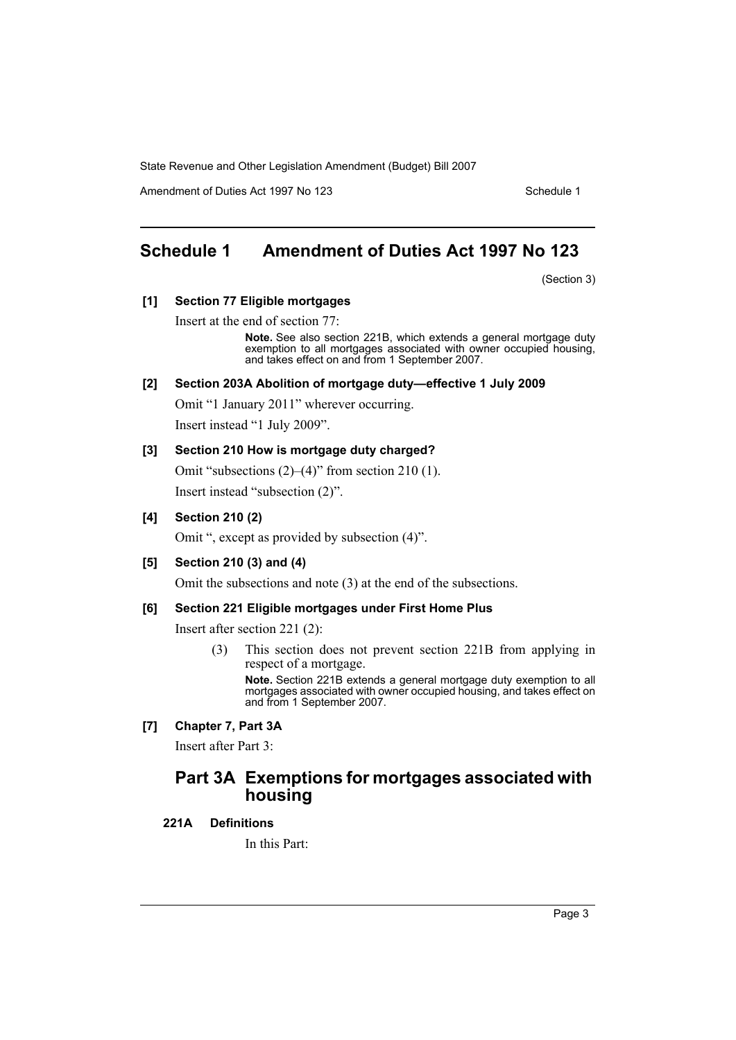Amendment of Duties Act 1997 No 123 Schedule 1

# <span id="page-3-0"></span>**Schedule 1 Amendment of Duties Act 1997 No 123**

(Section 3)

# **[1] Section 77 Eligible mortgages**

Insert at the end of section 77:

**Note.** See also section 221B, which extends a general mortgage duty exemption to all mortgages associated with owner occupied housing, and takes effect on and from 1 September 2007.

#### **[2] Section 203A Abolition of mortgage duty—effective 1 July 2009**

Omit "1 January 2011" wherever occurring.

Insert instead "1 July 2009".

#### **[3] Section 210 How is mortgage duty charged?**

Omit "subsections (2)–(4)" from section 210 (1).

Insert instead "subsection (2)".

#### **[4] Section 210 (2)**

Omit ", except as provided by subsection (4)".

### **[5] Section 210 (3) and (4)**

Omit the subsections and note (3) at the end of the subsections.

#### **[6] Section 221 Eligible mortgages under First Home Plus**

Insert after section 221 (2):

(3) This section does not prevent section 221B from applying in respect of a mortgage.

**Note.** Section 221B extends a general mortgage duty exemption to all mortgages associated with owner occupied housing, and takes effect on and from 1 September 2007.

#### **[7] Chapter 7, Part 3A**

Insert after Part 3:

# **Part 3A Exemptions for mortgages associated with housing**

#### **221A Definitions**

In this Part: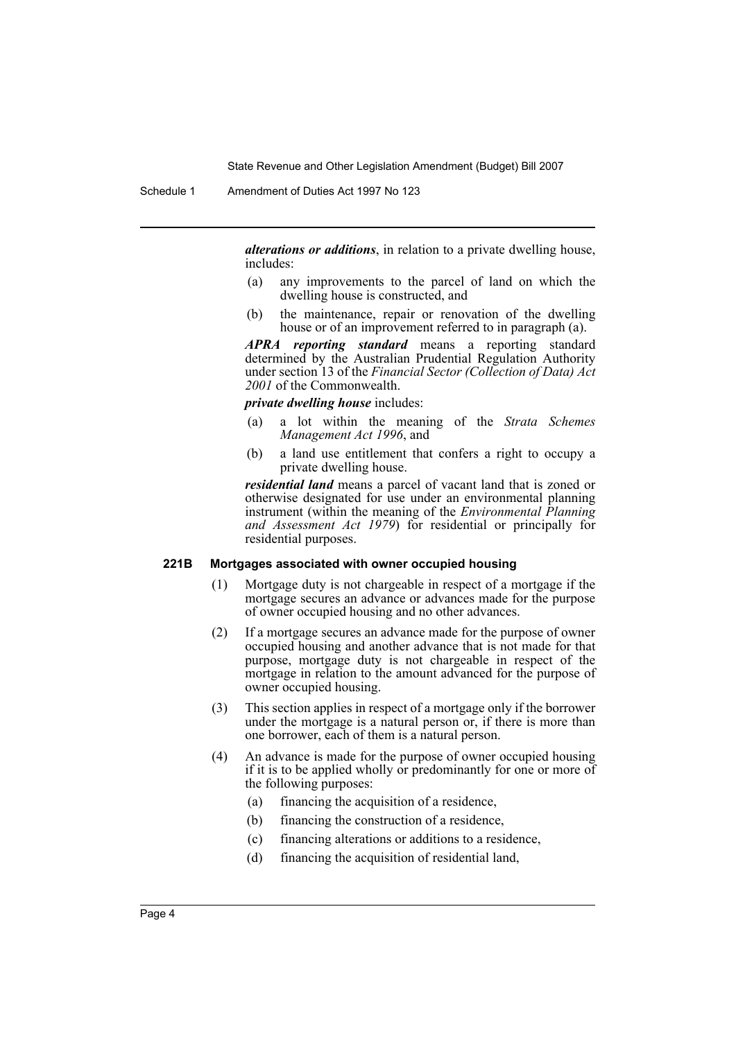*alterations or additions*, in relation to a private dwelling house, includes:

- (a) any improvements to the parcel of land on which the dwelling house is constructed, and
- (b) the maintenance, repair or renovation of the dwelling house or of an improvement referred to in paragraph (a).

*APRA reporting standard* means a reporting standard determined by the Australian Prudential Regulation Authority under section 13 of the *Financial Sector (Collection of Data) Act 2001* of the Commonwealth.

#### *private dwelling house* includes:

- (a) a lot within the meaning of the *Strata Schemes Management Act 1996*, and
- (b) a land use entitlement that confers a right to occupy a private dwelling house.

*residential land* means a parcel of vacant land that is zoned or otherwise designated for use under an environmental planning instrument (within the meaning of the *Environmental Planning and Assessment Act 1979*) for residential or principally for residential purposes.

#### **221B Mortgages associated with owner occupied housing**

- (1) Mortgage duty is not chargeable in respect of a mortgage if the mortgage secures an advance or advances made for the purpose of owner occupied housing and no other advances.
- (2) If a mortgage secures an advance made for the purpose of owner occupied housing and another advance that is not made for that purpose, mortgage duty is not chargeable in respect of the mortgage in relation to the amount advanced for the purpose of owner occupied housing.
- (3) This section applies in respect of a mortgage only if the borrower under the mortgage is a natural person or, if there is more than one borrower, each of them is a natural person.
- (4) An advance is made for the purpose of owner occupied housing if it is to be applied wholly or predominantly for one or more of the following purposes:
	- (a) financing the acquisition of a residence,
	- (b) financing the construction of a residence,
	- (c) financing alterations or additions to a residence,
	- (d) financing the acquisition of residential land,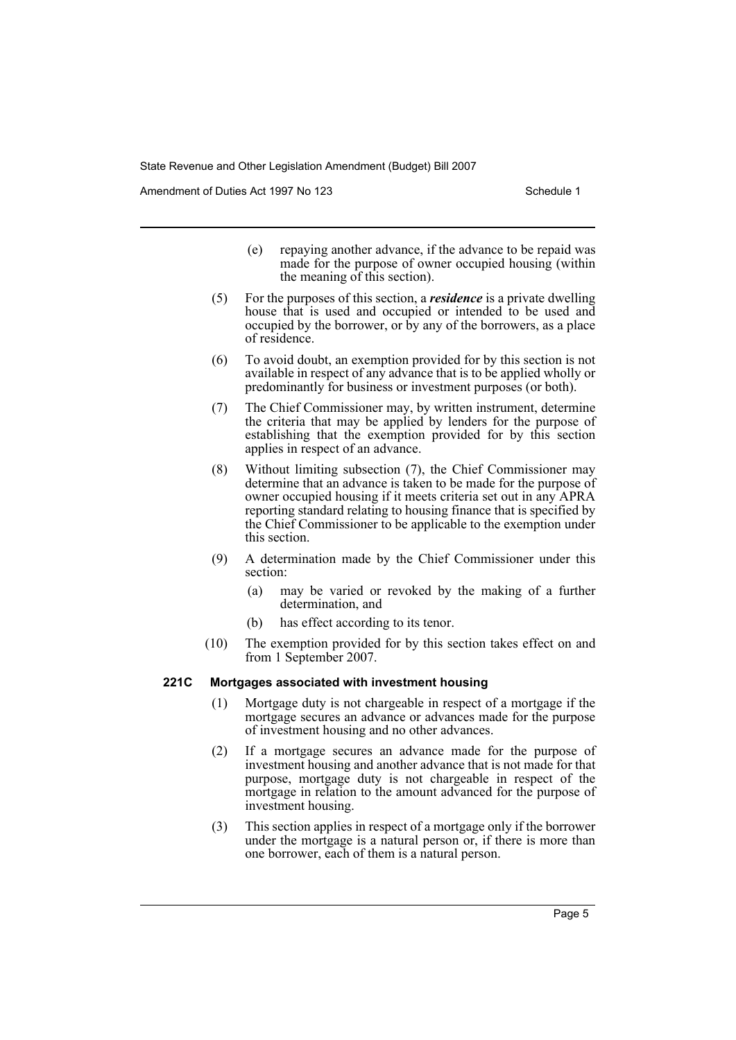Amendment of Duties Act 1997 No 123 Schedule 1

- (e) repaying another advance, if the advance to be repaid was made for the purpose of owner occupied housing (within the meaning of this section).
- (5) For the purposes of this section, a *residence* is a private dwelling house that is used and occupied or intended to be used and occupied by the borrower, or by any of the borrowers, as a place of residence.
- (6) To avoid doubt, an exemption provided for by this section is not available in respect of any advance that is to be applied wholly or predominantly for business or investment purposes (or both).
- (7) The Chief Commissioner may, by written instrument, determine the criteria that may be applied by lenders for the purpose of establishing that the exemption provided for by this section applies in respect of an advance.
- (8) Without limiting subsection (7), the Chief Commissioner may determine that an advance is taken to be made for the purpose of owner occupied housing if it meets criteria set out in any APRA reporting standard relating to housing finance that is specified by the Chief Commissioner to be applicable to the exemption under this section.
- (9) A determination made by the Chief Commissioner under this section:
	- (a) may be varied or revoked by the making of a further determination, and
	- (b) has effect according to its tenor.
- (10) The exemption provided for by this section takes effect on and from 1 September 2007.

#### **221C Mortgages associated with investment housing**

- (1) Mortgage duty is not chargeable in respect of a mortgage if the mortgage secures an advance or advances made for the purpose of investment housing and no other advances.
- (2) If a mortgage secures an advance made for the purpose of investment housing and another advance that is not made for that purpose, mortgage duty is not chargeable in respect of the mortgage in relation to the amount advanced for the purpose of investment housing.
- (3) This section applies in respect of a mortgage only if the borrower under the mortgage is a natural person or, if there is more than one borrower, each of them is a natural person.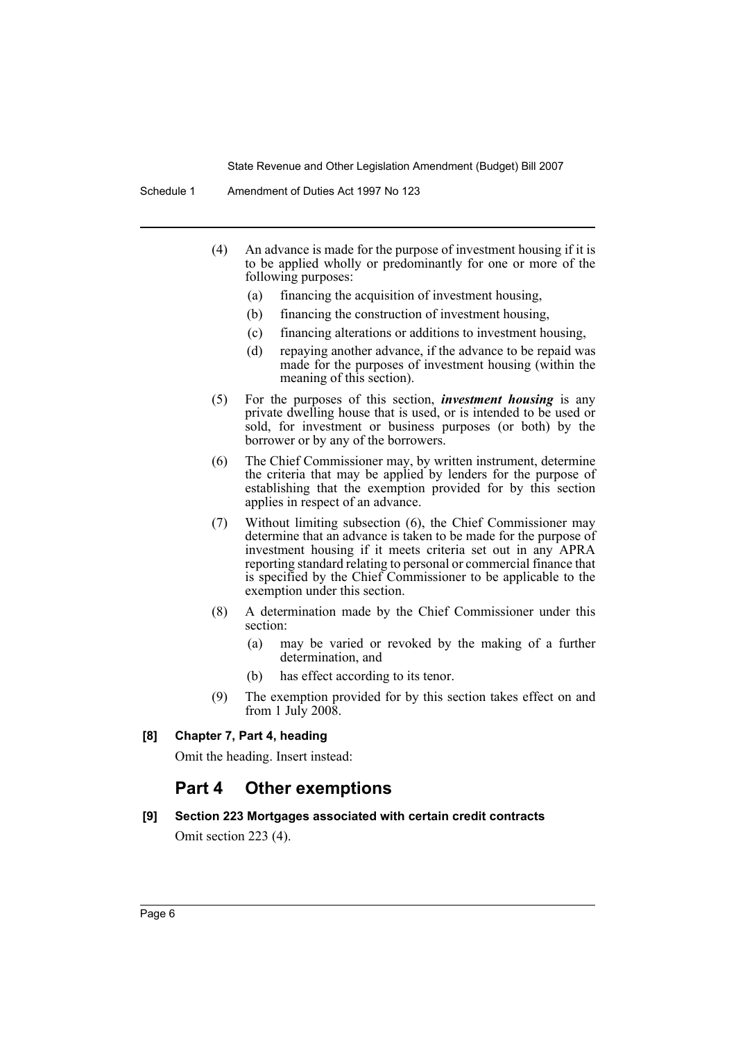- (4) An advance is made for the purpose of investment housing if it is to be applied wholly or predominantly for one or more of the following purposes:
	- (a) financing the acquisition of investment housing,
	- (b) financing the construction of investment housing,
	- (c) financing alterations or additions to investment housing,
	- (d) repaying another advance, if the advance to be repaid was made for the purposes of investment housing (within the meaning of this section).
- (5) For the purposes of this section, *investment housing* is any private dwelling house that is used, or is intended to be used or sold, for investment or business purposes (or both) by the borrower or by any of the borrowers.
- (6) The Chief Commissioner may, by written instrument, determine the criteria that may be applied by lenders for the purpose of establishing that the exemption provided for by this section applies in respect of an advance.
- (7) Without limiting subsection (6), the Chief Commissioner may determine that an advance is taken to be made for the purpose of investment housing if it meets criteria set out in any APRA reporting standard relating to personal or commercial finance that is specified by the Chief Commissioner to be applicable to the exemption under this section.
- (8) A determination made by the Chief Commissioner under this section:
	- (a) may be varied or revoked by the making of a further determination, and
	- (b) has effect according to its tenor.
- (9) The exemption provided for by this section takes effect on and from 1 July  $200\overline{8}$ .

# **[8] Chapter 7, Part 4, heading**

Omit the heading. Insert instead:

# **Part 4 Other exemptions**

# **[9] Section 223 Mortgages associated with certain credit contracts** Omit section 223 (4).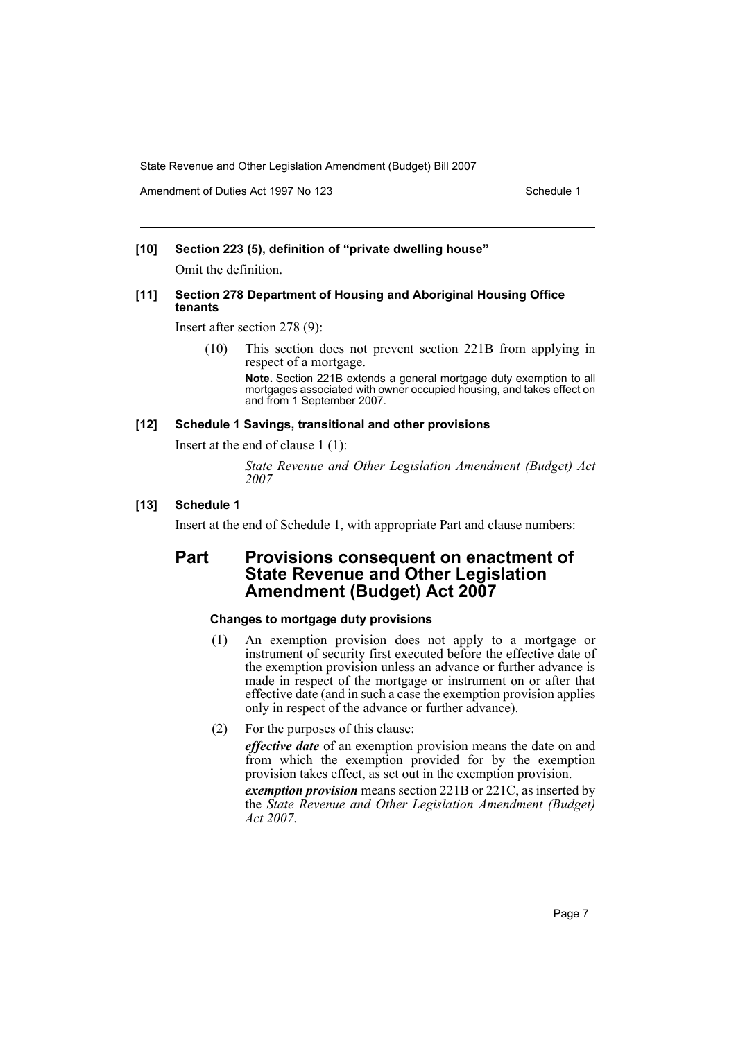Amendment of Duties Act 1997 No 123 Schedule 1

#### **[10] Section 223 (5), definition of "private dwelling house"**

Omit the definition.

#### **[11] Section 278 Department of Housing and Aboriginal Housing Office tenants**

Insert after section 278 (9):

(10) This section does not prevent section 221B from applying in respect of a mortgage.

> **Note.** Section 221B extends a general mortgage duty exemption to all mortgages associated with owner occupied housing, and takes effect on and from 1 September 2007.

#### **[12] Schedule 1 Savings, transitional and other provisions**

Insert at the end of clause 1 (1):

*State Revenue and Other Legislation Amendment (Budget) Act 2007*

#### **[13] Schedule 1**

Insert at the end of Schedule 1, with appropriate Part and clause numbers:

# **Part Provisions consequent on enactment of State Revenue and Other Legislation Amendment (Budget) Act 2007**

### **Changes to mortgage duty provisions**

- (1) An exemption provision does not apply to a mortgage or instrument of security first executed before the effective date of the exemption provision unless an advance or further advance is made in respect of the mortgage or instrument on or after that effective date (and in such a case the exemption provision applies only in respect of the advance or further advance).
- (2) For the purposes of this clause:

*effective date* of an exemption provision means the date on and from which the exemption provided for by the exemption provision takes effect, as set out in the exemption provision.

*exemption provision* means section 221B or 221C, as inserted by the *State Revenue and Other Legislation Amendment (Budget) Act 2007*.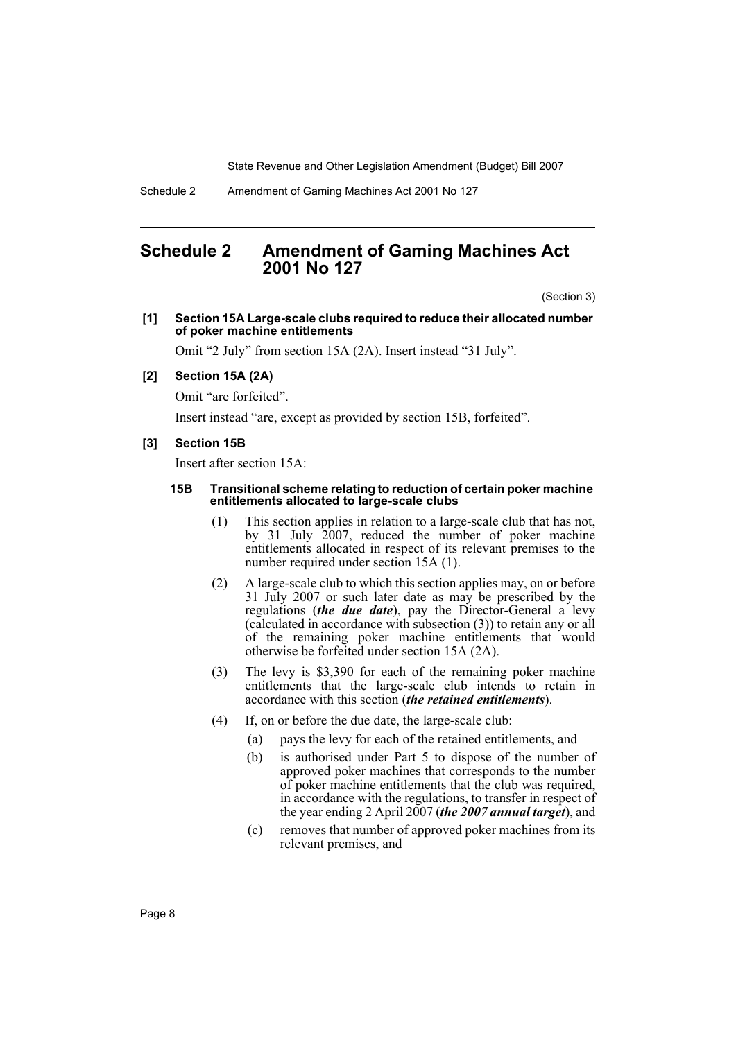# <span id="page-8-0"></span>**Schedule 2 Amendment of Gaming Machines Act 2001 No 127**

(Section 3)

**[1] Section 15A Large-scale clubs required to reduce their allocated number of poker machine entitlements**

Omit "2 July" from section 15A (2A). Insert instead "31 July".

#### **[2] Section 15A (2A)**

Omit "are forfeited".

Insert instead "are, except as provided by section 15B, forfeited".

#### **[3] Section 15B**

Insert after section 15A:

#### **15B Transitional scheme relating to reduction of certain poker machine entitlements allocated to large-scale clubs**

- (1) This section applies in relation to a large-scale club that has not, by 31 July 2007, reduced the number of poker machine entitlements allocated in respect of its relevant premises to the number required under section 15A (1).
- (2) A large-scale club to which this section applies may, on or before 31 July 2007 or such later date as may be prescribed by the regulations (*the due date*), pay the Director-General a levy (calculated in accordance with subsection (3)) to retain any or all of the remaining poker machine entitlements that would otherwise be forfeited under section 15A (2A).
- (3) The levy is \$3,390 for each of the remaining poker machine entitlements that the large-scale club intends to retain in accordance with this section (*the retained entitlements*).
- (4) If, on or before the due date, the large-scale club:
	- (a) pays the levy for each of the retained entitlements, and
	- (b) is authorised under Part 5 to dispose of the number of approved poker machines that corresponds to the number of poker machine entitlements that the club was required, in accordance with the regulations, to transfer in respect of the year ending 2 April 2007 (*the 2007 annual target*), and
	- (c) removes that number of approved poker machines from its relevant premises, and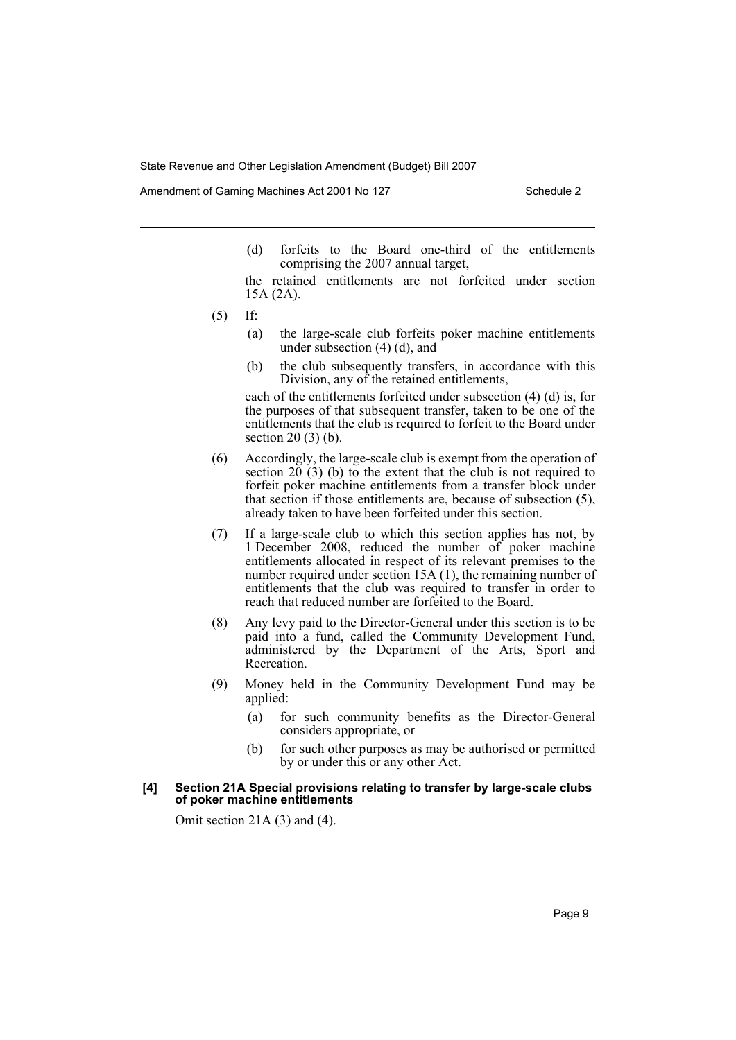Amendment of Gaming Machines Act 2001 No 127 Schedule 2

- (d) forfeits to the Board one-third of the entitlements comprising the 2007 annual target,
- the retained entitlements are not forfeited under section 15A (2A).
- (5) If:
	- (a) the large-scale club forfeits poker machine entitlements under subsection (4) (d), and
	- (b) the club subsequently transfers, in accordance with this Division, any of the retained entitlements,

each of the entitlements forfeited under subsection (4) (d) is, for the purposes of that subsequent transfer, taken to be one of the entitlements that the club is required to forfeit to the Board under section 20 (3) (b).

- (6) Accordingly, the large-scale club is exempt from the operation of section  $20(3)$  (b) to the extent that the club is not required to forfeit poker machine entitlements from a transfer block under that section if those entitlements are, because of subsection (5), already taken to have been forfeited under this section.
- (7) If a large-scale club to which this section applies has not, by 1 December 2008, reduced the number of poker machine entitlements allocated in respect of its relevant premises to the number required under section 15A (1), the remaining number of entitlements that the club was required to transfer in order to reach that reduced number are forfeited to the Board.
- (8) Any levy paid to the Director-General under this section is to be paid into a fund, called the Community Development Fund, administered by the Department of the Arts, Sport and Recreation.
- (9) Money held in the Community Development Fund may be applied:
	- (a) for such community benefits as the Director-General considers appropriate, or
	- (b) for such other purposes as may be authorised or permitted by or under this or any other Act.

#### **[4] Section 21A Special provisions relating to transfer by large-scale clubs of poker machine entitlements**

Omit section 21A (3) and (4).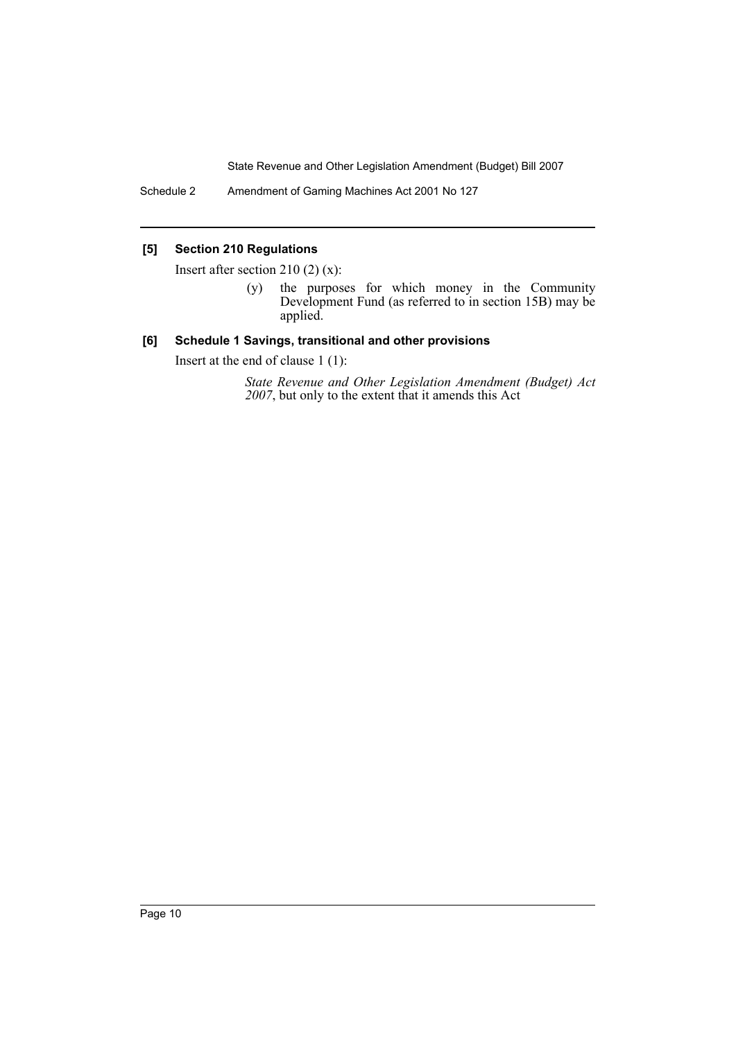Schedule 2 Amendment of Gaming Machines Act 2001 No 127

# **[5] Section 210 Regulations**

Insert after section 210  $(2)$   $(x)$ :

(y) the purposes for which money in the Community Development Fund (as referred to in section 15B) may be applied.

#### **[6] Schedule 1 Savings, transitional and other provisions**

Insert at the end of clause 1 (1):

*State Revenue and Other Legislation Amendment (Budget) Act 2007*, but only to the extent that it amends this Act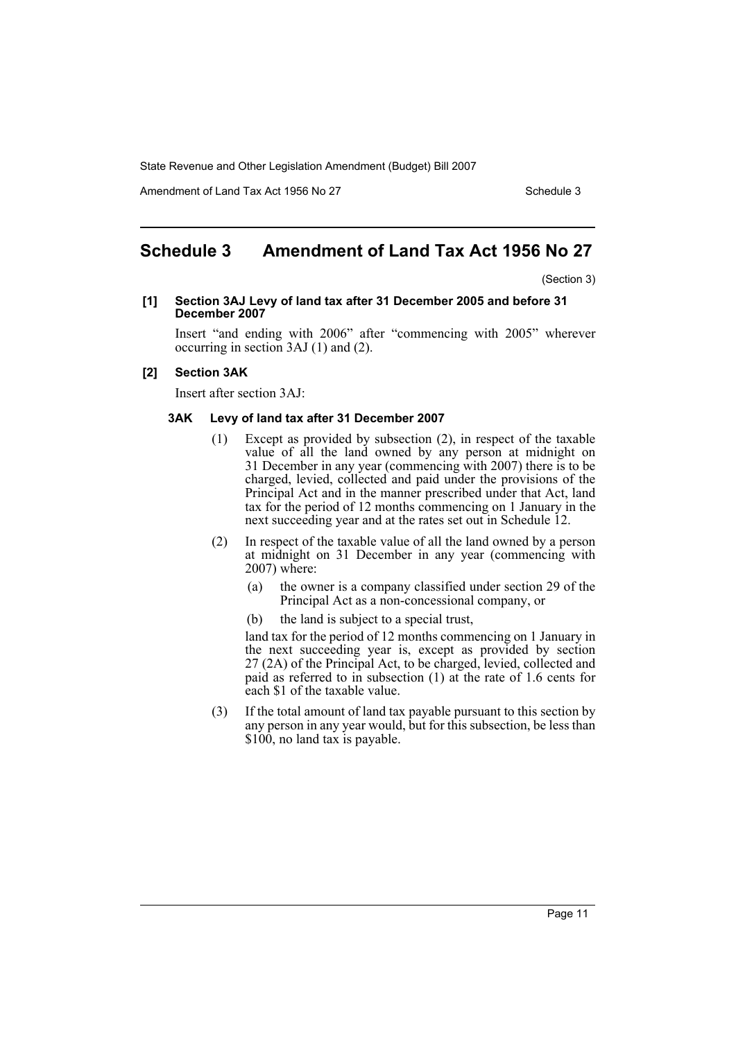Amendment of Land Tax Act 1956 No 27 Schedule 3

# <span id="page-11-0"></span>**Schedule 3 Amendment of Land Tax Act 1956 No 27**

(Section 3)

#### **[1] Section 3AJ Levy of land tax after 31 December 2005 and before 31 December 2007**

Insert "and ending with 2006" after "commencing with 2005" wherever occurring in section 3AJ (1) and (2).

#### **[2] Section 3AK**

Insert after section 3AJ:

#### **3AK Levy of land tax after 31 December 2007**

- (1) Except as provided by subsection (2), in respect of the taxable value of all the land owned by any person at midnight on 31 December in any year (commencing with 2007) there is to be charged, levied, collected and paid under the provisions of the Principal Act and in the manner prescribed under that Act, land tax for the period of 12 months commencing on 1 January in the next succeeding year and at the rates set out in Schedule 12.
- (2) In respect of the taxable value of all the land owned by a person at midnight on 31 December in any year (commencing with 2007) where:
	- (a) the owner is a company classified under section 29 of the Principal Act as a non-concessional company, or
	- (b) the land is subject to a special trust,

land tax for the period of 12 months commencing on 1 January in the next succeeding year is, except as provided by section 27 (2A) of the Principal Act, to be charged, levied, collected and paid as referred to in subsection (1) at the rate of 1.6 cents for each \$1 of the taxable value.

(3) If the total amount of land tax payable pursuant to this section by any person in any year would, but for this subsection, be less than \$100, no land tax is payable.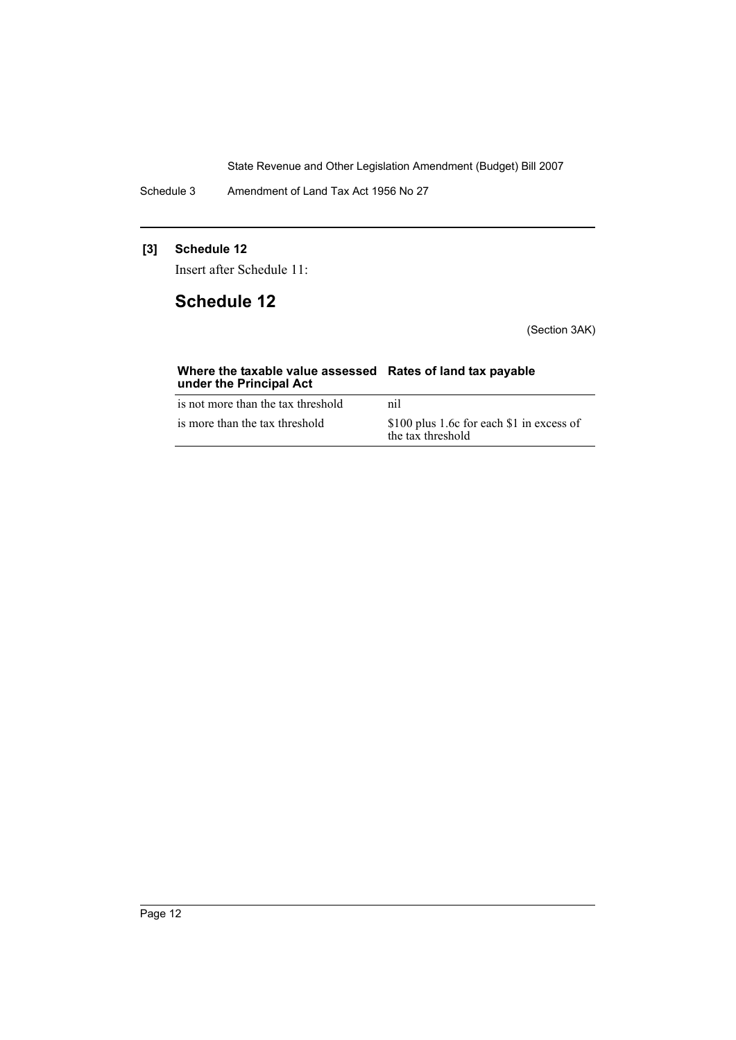Schedule 3 Amendment of Land Tax Act 1956 No 27

# **[3] Schedule 12**

Insert after Schedule 11:

# **Schedule 12**

(Section 3AK)

| Where the taxable value assessed Rates of land tax payable<br>under the Principal Act |                                                                |
|---------------------------------------------------------------------------------------|----------------------------------------------------------------|
| is not more than the tax threshold                                                    | nil                                                            |
| is more than the tax threshold                                                        | \$100 plus 1.6c for each \$1 in excess of<br>the tax threshold |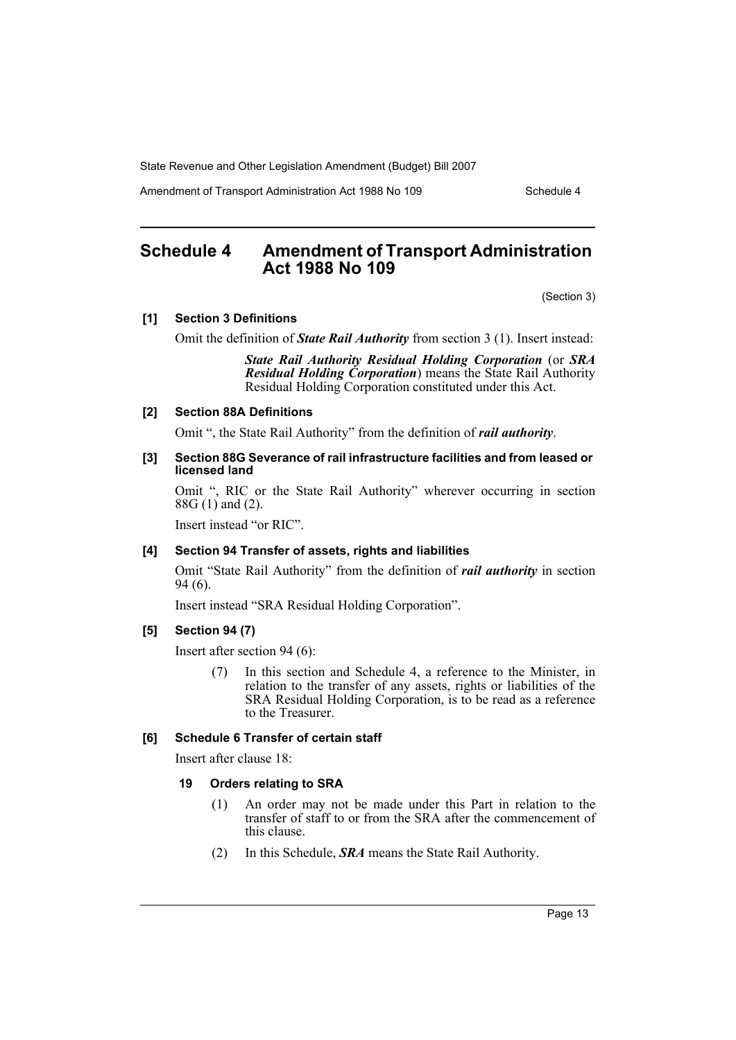Amendment of Transport Administration Act 1988 No 109 Schedule 4

# <span id="page-13-0"></span>**Schedule 4 Amendment of Transport Administration Act 1988 No 109**

(Section 3)

#### **[1] Section 3 Definitions**

Omit the definition of *State Rail Authority* from section 3 (1). Insert instead:

*State Rail Authority Residual Holding Corporation* (or *SRA Residual Holding Corporation*) means the State Rail Authority Residual Holding Corporation constituted under this Act.

#### **[2] Section 88A Definitions**

Omit ", the State Rail Authority" from the definition of *rail authority*.

#### **[3] Section 88G Severance of rail infrastructure facilities and from leased or licensed land**

Omit ", RIC or the State Rail Authority" wherever occurring in section 88G (1) and (2).

Insert instead "or RIC".

#### **[4] Section 94 Transfer of assets, rights and liabilities**

Omit "State Rail Authority" from the definition of *rail authority* in section 94 (6).

Insert instead "SRA Residual Holding Corporation".

# **[5] Section 94 (7)**

Insert after section 94 (6):

(7) In this section and Schedule 4, a reference to the Minister, in relation to the transfer of any assets, rights or liabilities of the SRA Residual Holding Corporation, is to be read as a reference to the Treasurer.

#### **[6] Schedule 6 Transfer of certain staff**

Insert after clause 18:

#### **19 Orders relating to SRA**

- (1) An order may not be made under this Part in relation to the transfer of staff to or from the SRA after the commencement of this clause.
- (2) In this Schedule, *SRA* means the State Rail Authority.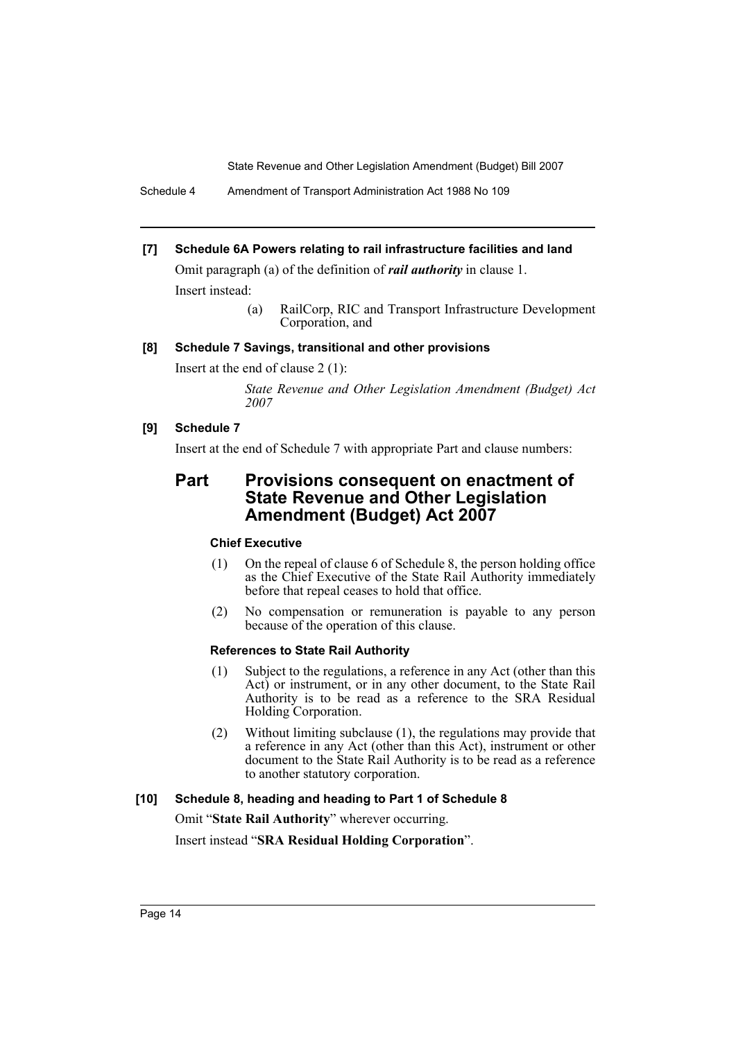#### **[7] Schedule 6A Powers relating to rail infrastructure facilities and land**

Omit paragraph (a) of the definition of *rail authority* in clause 1. Insert instead:

> (a) RailCorp, RIC and Transport Infrastructure Development Corporation, and

# **[8] Schedule 7 Savings, transitional and other provisions**

Insert at the end of clause 2 (1):

*State Revenue and Other Legislation Amendment (Budget) Act 2007*

### **[9] Schedule 7**

Insert at the end of Schedule 7 with appropriate Part and clause numbers:

# **Part Provisions consequent on enactment of State Revenue and Other Legislation Amendment (Budget) Act 2007**

#### **Chief Executive**

- (1) On the repeal of clause 6 of Schedule 8, the person holding office as the Chief Executive of the State Rail Authority immediately before that repeal ceases to hold that office.
- (2) No compensation or remuneration is payable to any person because of the operation of this clause.

#### **References to State Rail Authority**

- (1) Subject to the regulations, a reference in any Act (other than this Act) or instrument, or in any other document, to the State Rail Authority is to be read as a reference to the SRA Residual Holding Corporation.
- (2) Without limiting subclause (1), the regulations may provide that a reference in any Act (other than this Act), instrument or other document to the State Rail Authority is to be read as a reference to another statutory corporation.

### **[10] Schedule 8, heading and heading to Part 1 of Schedule 8**

Omit "**State Rail Authority**" wherever occurring.

Insert instead "**SRA Residual Holding Corporation**".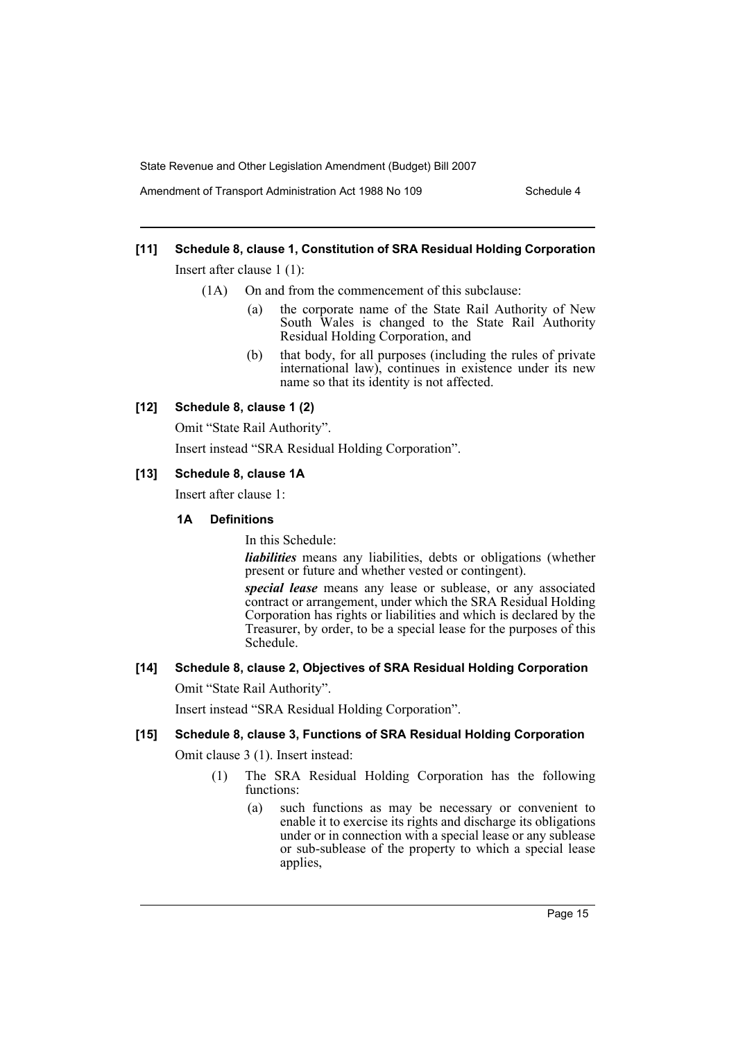Amendment of Transport Administration Act 1988 No 109 Schedule 4

# **[11] Schedule 8, clause 1, Constitution of SRA Residual Holding Corporation**

Insert after clause 1 (1):

- (1A) On and from the commencement of this subclause:
	- (a) the corporate name of the State Rail Authority of New South Wales is changed to the State Rail Authority Residual Holding Corporation, and
	- (b) that body, for all purposes (including the rules of private international law), continues in existence under its new name so that its identity is not affected.

#### **[12] Schedule 8, clause 1 (2)**

Omit "State Rail Authority".

Insert instead "SRA Residual Holding Corporation".

#### **[13] Schedule 8, clause 1A**

Insert after clause 1:

# **1A Definitions**

In this Schedule:

*liabilities* means any liabilities, debts or obligations (whether present or future and whether vested or contingent).

*special lease* means any lease or sublease, or any associated contract or arrangement, under which the SRA Residual Holding Corporation has rights or liabilities and which is declared by the Treasurer, by order, to be a special lease for the purposes of this Schedule.

# **[14] Schedule 8, clause 2, Objectives of SRA Residual Holding Corporation**

Omit "State Rail Authority".

Insert instead "SRA Residual Holding Corporation".

#### **[15] Schedule 8, clause 3, Functions of SRA Residual Holding Corporation**

Omit clause 3 (1). Insert instead:

- (1) The SRA Residual Holding Corporation has the following functions:
	- (a) such functions as may be necessary or convenient to enable it to exercise its rights and discharge its obligations under or in connection with a special lease or any sublease or sub-sublease of the property to which a special lease applies,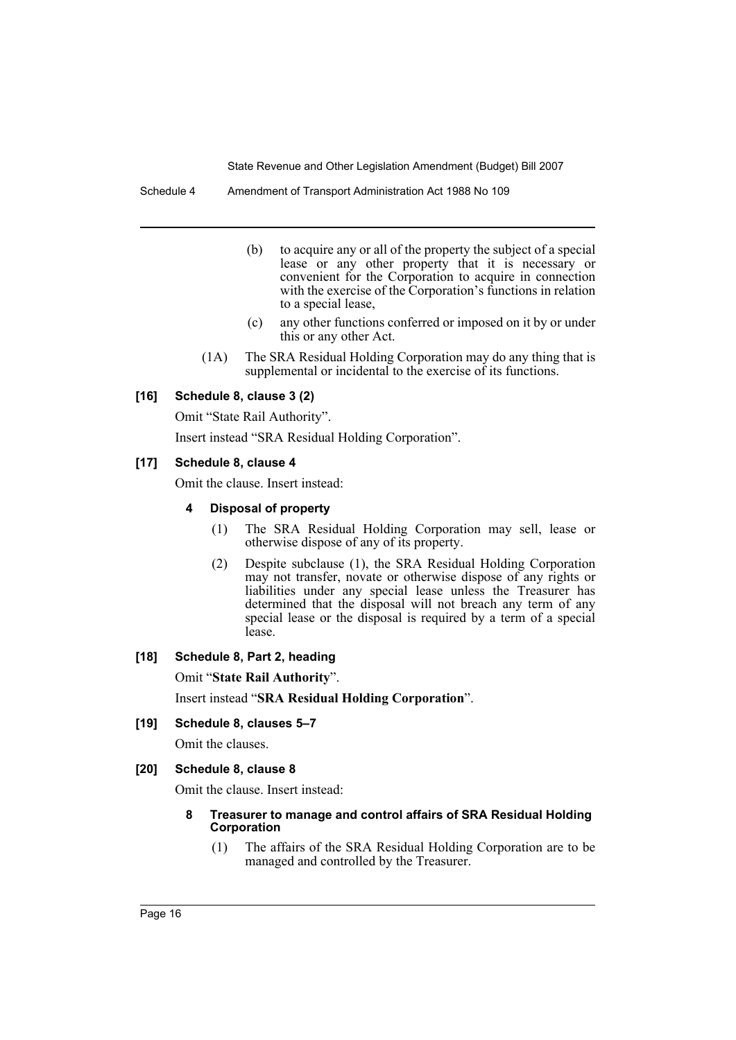Schedule 4 Amendment of Transport Administration Act 1988 No 109

- (b) to acquire any or all of the property the subject of a special lease or any other property that it is necessary or convenient for the Corporation to acquire in connection with the exercise of the Corporation's functions in relation to a special lease,
- (c) any other functions conferred or imposed on it by or under this or any other Act.
- (1A) The SRA Residual Holding Corporation may do any thing that is supplemental or incidental to the exercise of its functions.

#### **[16] Schedule 8, clause 3 (2)**

Omit "State Rail Authority".

Insert instead "SRA Residual Holding Corporation".

#### **[17] Schedule 8, clause 4**

Omit the clause. Insert instead:

#### **4 Disposal of property**

- (1) The SRA Residual Holding Corporation may sell, lease or otherwise dispose of any of its property.
- (2) Despite subclause (1), the SRA Residual Holding Corporation may not transfer, novate or otherwise dispose of any rights or liabilities under any special lease unless the Treasurer has determined that the disposal will not breach any term of any special lease or the disposal is required by a term of a special lease.

# **[18] Schedule 8, Part 2, heading**

Omit "**State Rail Authority**".

Insert instead "**SRA Residual Holding Corporation**".

#### **[19] Schedule 8, clauses 5–7**

Omit the clauses.

#### **[20] Schedule 8, clause 8**

Omit the clause. Insert instead:

#### **8 Treasurer to manage and control affairs of SRA Residual Holding Corporation**

(1) The affairs of the SRA Residual Holding Corporation are to be managed and controlled by the Treasurer.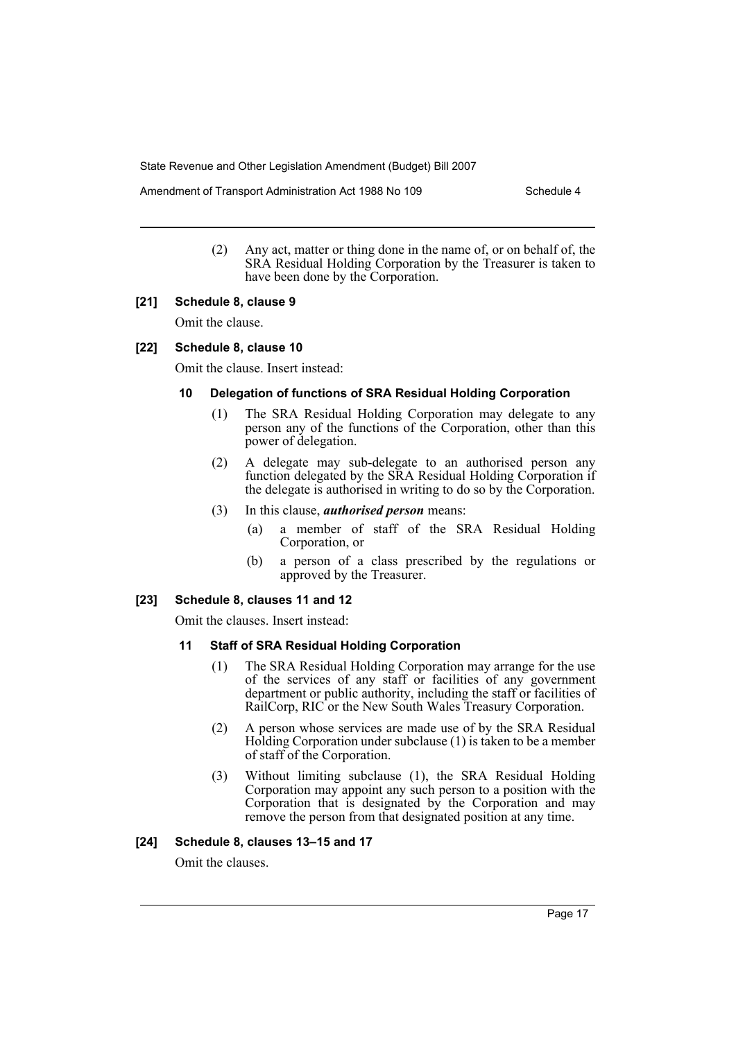Amendment of Transport Administration Act 1988 No 109 Schedule 4

(2) Any act, matter or thing done in the name of, or on behalf of, the SRA Residual Holding Corporation by the Treasurer is taken to have been done by the Corporation.

#### **[21] Schedule 8, clause 9**

Omit the clause.

#### **[22] Schedule 8, clause 10**

Omit the clause. Insert instead:

#### **10 Delegation of functions of SRA Residual Holding Corporation**

- (1) The SRA Residual Holding Corporation may delegate to any person any of the functions of the Corporation, other than this power of delegation.
- (2) A delegate may sub-delegate to an authorised person any function delegated by the SRA Residual Holding Corporation if the delegate is authorised in writing to do so by the Corporation.
- (3) In this clause, *authorised person* means:
	- (a) a member of staff of the SRA Residual Holding Corporation, or
	- (b) a person of a class prescribed by the regulations or approved by the Treasurer.

#### **[23] Schedule 8, clauses 11 and 12**

Omit the clauses. Insert instead:

#### **11 Staff of SRA Residual Holding Corporation**

- (1) The SRA Residual Holding Corporation may arrange for the use of the services of any staff or facilities of any government department or public authority, including the staff or facilities of RailCorp, RIC or the New South Wales Treasury Corporation.
- (2) A person whose services are made use of by the SRA Residual Holding Corporation under subclause (1) is taken to be a member of staff of the Corporation.
- (3) Without limiting subclause (1), the SRA Residual Holding Corporation may appoint any such person to a position with the Corporation that is designated by the Corporation and may remove the person from that designated position at any time.

#### **[24] Schedule 8, clauses 13–15 and 17**

Omit the clauses.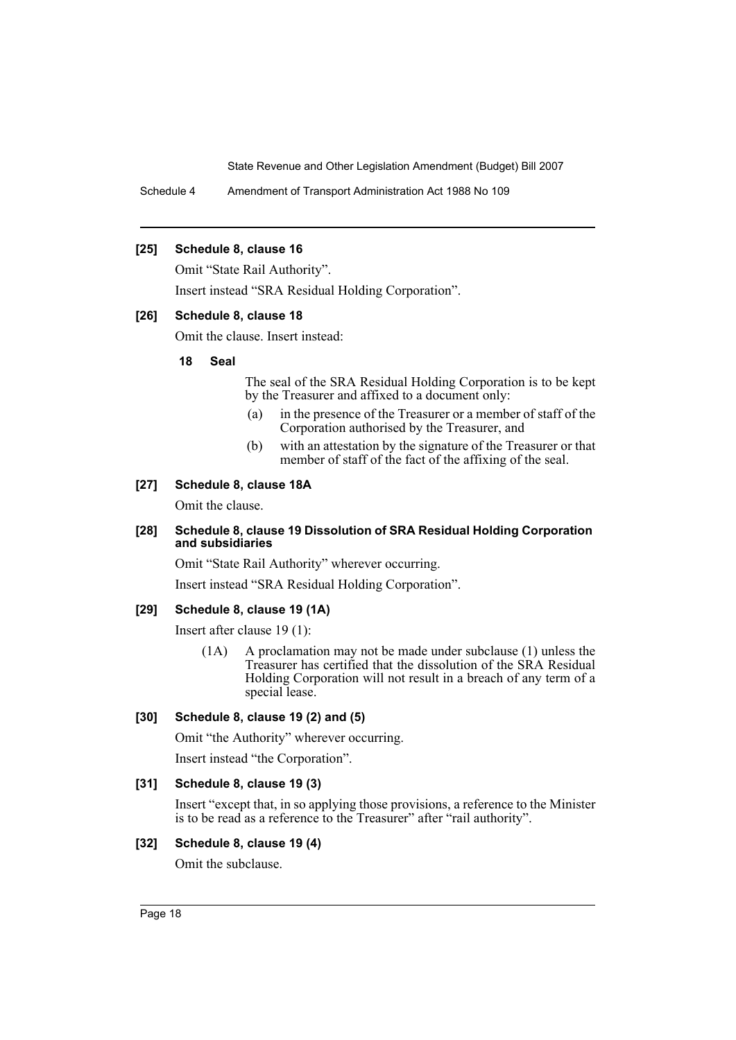Schedule 4 Amendment of Transport Administration Act 1988 No 109

#### **[25] Schedule 8, clause 16**

Omit "State Rail Authority".

Insert instead "SRA Residual Holding Corporation".

#### **[26] Schedule 8, clause 18**

Omit the clause. Insert instead:

#### **18 Seal**

The seal of the SRA Residual Holding Corporation is to be kept by the Treasurer and affixed to a document only:

- (a) in the presence of the Treasurer or a member of staff of the Corporation authorised by the Treasurer, and
- (b) with an attestation by the signature of the Treasurer or that member of staff of the fact of the affixing of the seal.

#### **[27] Schedule 8, clause 18A**

Omit the clause.

#### **[28] Schedule 8, clause 19 Dissolution of SRA Residual Holding Corporation and subsidiaries**

Omit "State Rail Authority" wherever occurring.

Insert instead "SRA Residual Holding Corporation".

#### **[29] Schedule 8, clause 19 (1A)**

Insert after clause 19 (1):

(1A) A proclamation may not be made under subclause (1) unless the Treasurer has certified that the dissolution of the SRA Residual Holding Corporation will not result in a breach of any term of a special lease.

#### **[30] Schedule 8, clause 19 (2) and (5)**

Omit "the Authority" wherever occurring.

Insert instead "the Corporation".

#### **[31] Schedule 8, clause 19 (3)**

Insert "except that, in so applying those provisions, a reference to the Minister is to be read as a reference to the Treasurer" after "rail authority".

#### **[32] Schedule 8, clause 19 (4)**

Omit the subclause.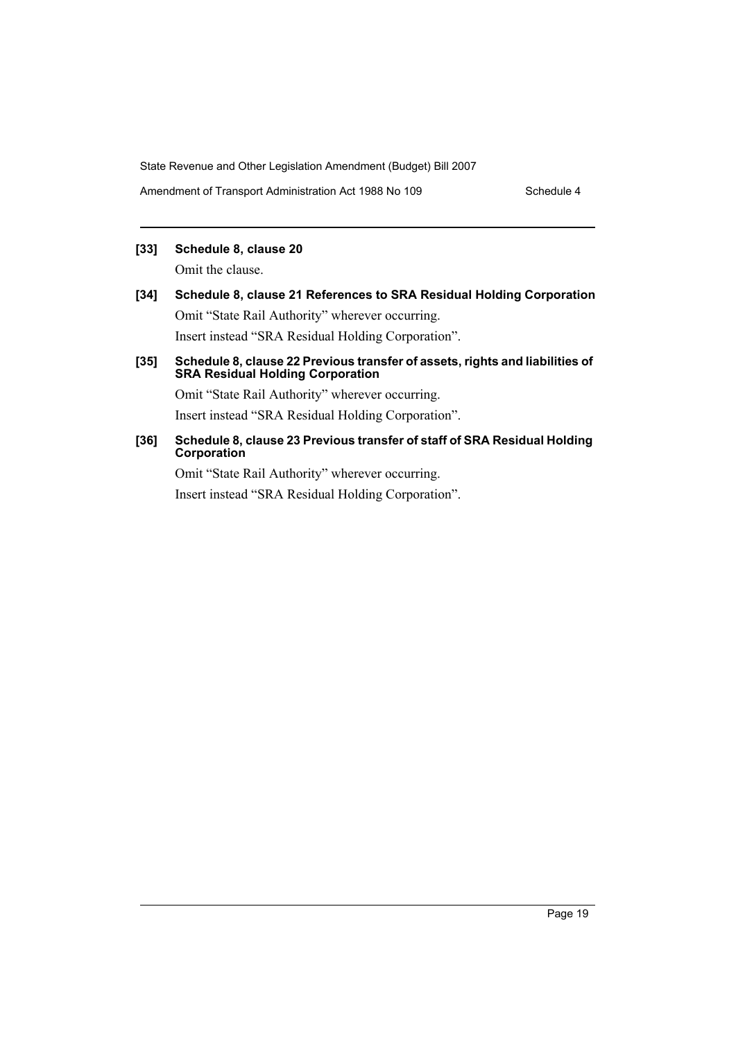Amendment of Transport Administration Act 1988 No 109 Schedule 4

# **[33] Schedule 8, clause 20**

Omit the clause.

- **[34] Schedule 8, clause 21 References to SRA Residual Holding Corporation** Omit "State Rail Authority" wherever occurring. Insert instead "SRA Residual Holding Corporation".
- **[35] Schedule 8, clause 22 Previous transfer of assets, rights and liabilities of SRA Residual Holding Corporation**

Omit "State Rail Authority" wherever occurring. Insert instead "SRA Residual Holding Corporation".

**[36] Schedule 8, clause 23 Previous transfer of staff of SRA Residual Holding Corporation**

Omit "State Rail Authority" wherever occurring. Insert instead "SRA Residual Holding Corporation".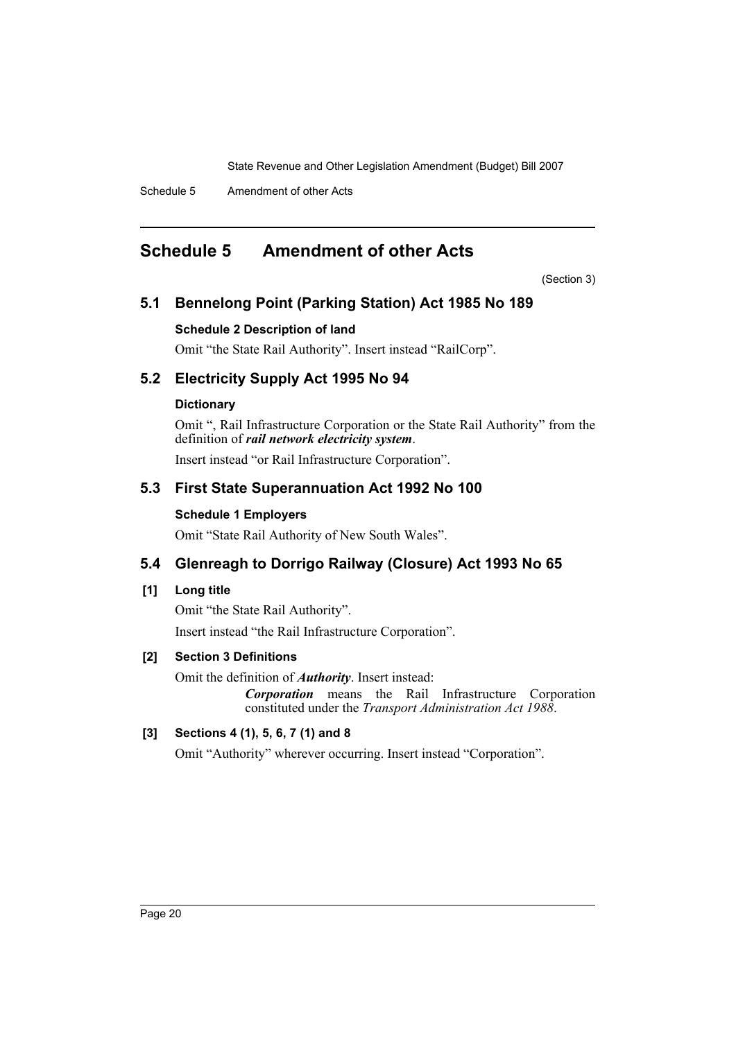Schedule 5 Amendment of other Acts

# <span id="page-20-0"></span>**Schedule 5 Amendment of other Acts**

(Section 3)

# **5.1 Bennelong Point (Parking Station) Act 1985 No 189**

# **Schedule 2 Description of land**

Omit "the State Rail Authority". Insert instead "RailCorp".

# **5.2 Electricity Supply Act 1995 No 94**

# **Dictionary**

Omit ", Rail Infrastructure Corporation or the State Rail Authority" from the definition of *rail network electricity system*.

Insert instead "or Rail Infrastructure Corporation".

# **5.3 First State Superannuation Act 1992 No 100**

# **Schedule 1 Employers**

Omit "State Rail Authority of New South Wales".

# **5.4 Glenreagh to Dorrigo Railway (Closure) Act 1993 No 65**

# **[1] Long title**

Omit "the State Rail Authority".

Insert instead "the Rail Infrastructure Corporation".

# **[2] Section 3 Definitions**

Omit the definition of *Authority*. Insert instead:

*Corporation* means the Rail Infrastructure Corporation constituted under the *Transport Administration Act 1988*.

# **[3] Sections 4 (1), 5, 6, 7 (1) and 8**

Omit "Authority" wherever occurring. Insert instead "Corporation".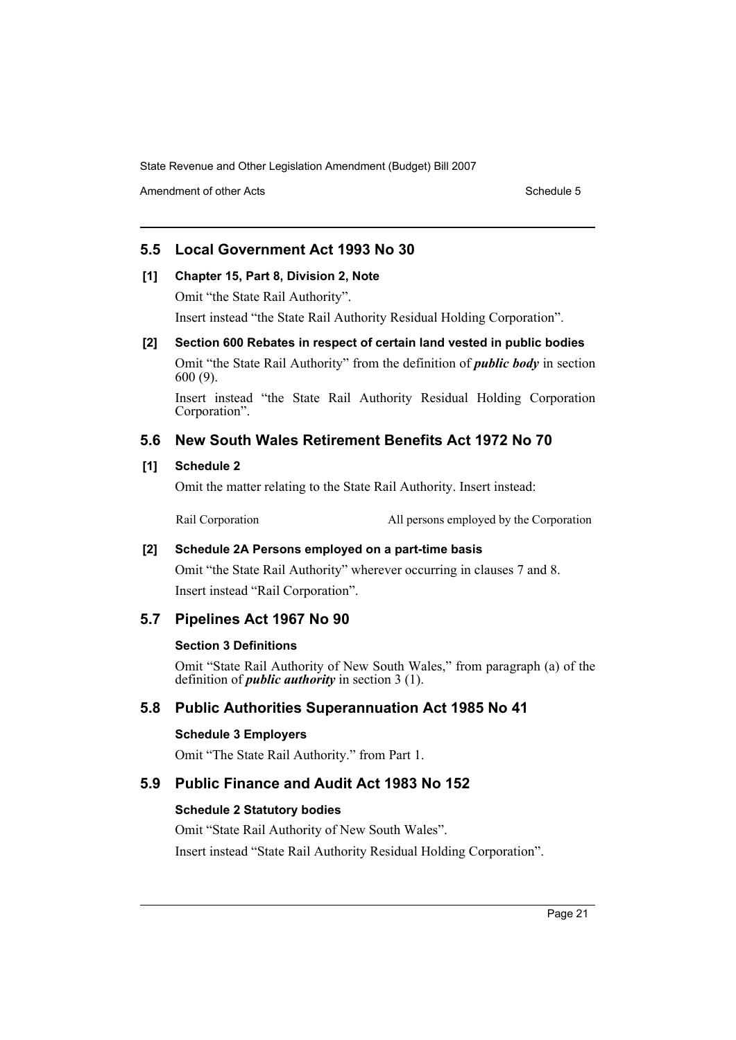Amendment of other Acts Schedule 5 and the Schedule 5 and the Schedule 5 and the Schedule 5 and the Schedule 5

# **5.5 Local Government Act 1993 No 30**

#### **[1] Chapter 15, Part 8, Division 2, Note**

Omit "the State Rail Authority".

Insert instead "the State Rail Authority Residual Holding Corporation".

# **[2] Section 600 Rebates in respect of certain land vested in public bodies**

Omit "the State Rail Authority" from the definition of *public body* in section 600 (9).

Insert instead "the State Rail Authority Residual Holding Corporation Corporation".

# **5.6 New South Wales Retirement Benefits Act 1972 No 70**

# **[1] Schedule 2**

Omit the matter relating to the State Rail Authority. Insert instead:

Rail Corporation All persons employed by the Corporation

# **[2] Schedule 2A Persons employed on a part-time basis**

Omit "the State Rail Authority" wherever occurring in clauses 7 and 8. Insert instead "Rail Corporation".

# **5.7 Pipelines Act 1967 No 90**

#### **Section 3 Definitions**

Omit "State Rail Authority of New South Wales," from paragraph (a) of the definition of *public authority* in section 3 (1).

# **5.8 Public Authorities Superannuation Act 1985 No 41**

# **Schedule 3 Employers**

Omit "The State Rail Authority." from Part 1.

# **5.9 Public Finance and Audit Act 1983 No 152**

# **Schedule 2 Statutory bodies**

Omit "State Rail Authority of New South Wales". Insert instead "State Rail Authority Residual Holding Corporation".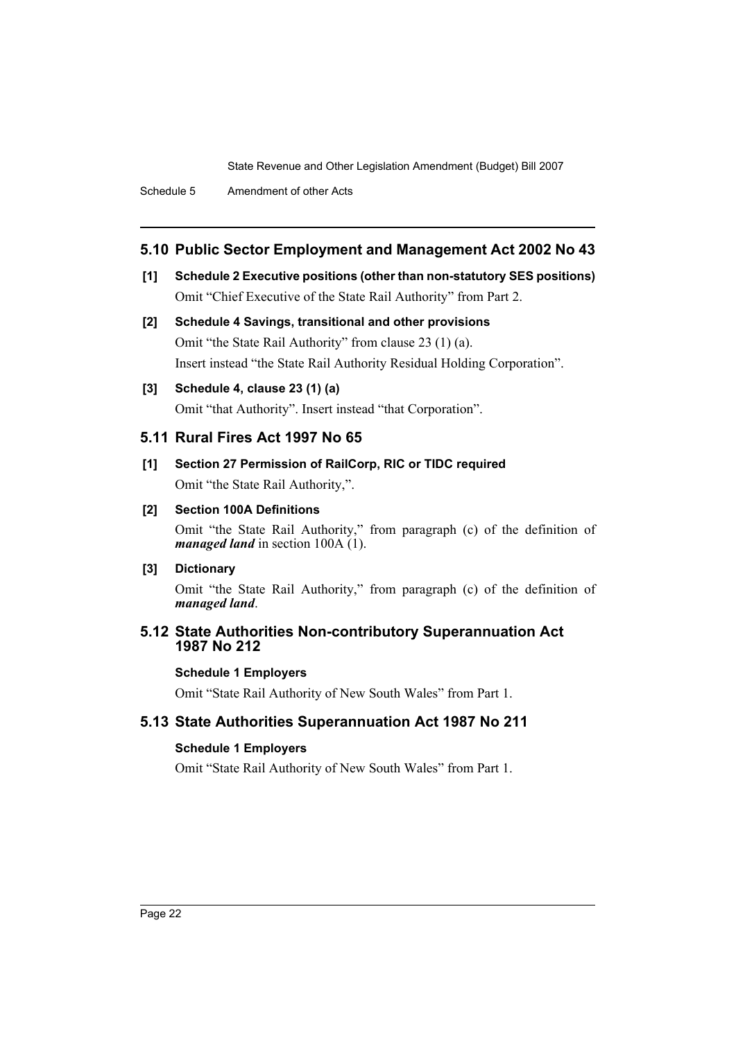# **5.10 Public Sector Employment and Management Act 2002 No 43**

- **[1] Schedule 2 Executive positions (other than non-statutory SES positions)** Omit "Chief Executive of the State Rail Authority" from Part 2.
- **[2] Schedule 4 Savings, transitional and other provisions** Omit "the State Rail Authority" from clause 23 (1) (a). Insert instead "the State Rail Authority Residual Holding Corporation".

#### **[3] Schedule 4, clause 23 (1) (a)**

Omit "that Authority". Insert instead "that Corporation".

#### **5.11 Rural Fires Act 1997 No 65**

**[1] Section 27 Permission of RailCorp, RIC or TIDC required** Omit "the State Rail Authority,".

#### **[2] Section 100A Definitions**

Omit "the State Rail Authority," from paragraph (c) of the definition of *managed land* in section 100A (1).

#### **[3] Dictionary**

Omit "the State Rail Authority," from paragraph (c) of the definition of *managed land*.

# **5.12 State Authorities Non-contributory Superannuation Act 1987 No 212**

#### **Schedule 1 Employers**

Omit "State Rail Authority of New South Wales" from Part 1.

# **5.13 State Authorities Superannuation Act 1987 No 211**

#### **Schedule 1 Employers**

Omit "State Rail Authority of New South Wales" from Part 1.